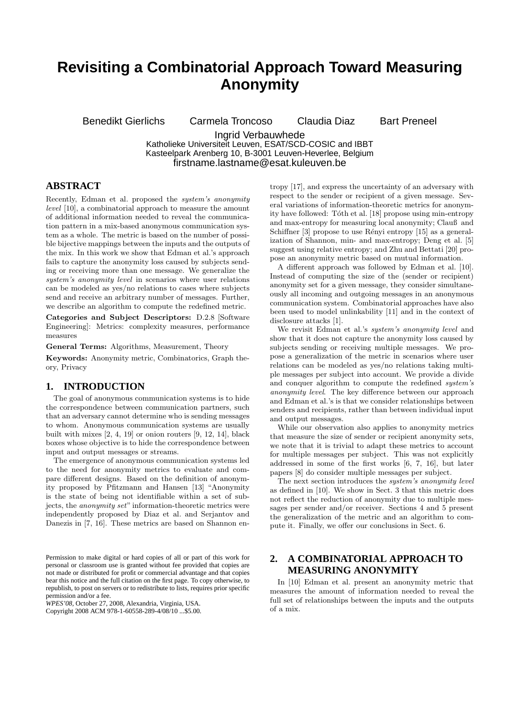# **Revisiting a Combinatorial Approach Toward Measuring Anonymity**

Benedikt Gierlichs Carmela Troncoso Claudia Diaz Bart Preneel

Ingrid Verbauwhede

Katholieke Universiteit Leuven, ESAT/SCD-COSIC and IBBT Kasteelpark Arenberg 10, B-3001 Leuven-Heverlee, Belgium firstname.lastname@esat.kuleuven.be

# **ABSTRACT**

Recently, Edman et al. proposed the system's anonymity level [10], a combinatorial approach to measure the amount of additional information needed to reveal the communication pattern in a mix-based anonymous communication system as a whole. The metric is based on the number of possible bijective mappings between the inputs and the outputs of the mix. In this work we show that Edman et al.'s approach fails to capture the anonymity loss caused by subjects sending or receiving more than one message. We generalize the system's anonymity level in scenarios where user relations can be modeled as yes/no relations to cases where subjects send and receive an arbitrary number of messages. Further, we describe an algorithm to compute the redefined metric.

Categories and Subject Descriptors: D.2.8 [Software Engineering]: Metrics: complexity measures, performance measures

General Terms: Algorithms, Measurement, Theory

Keywords: Anonymity metric, Combinatorics, Graph theory, Privacy

## **1. INTRODUCTION**

The goal of anonymous communication systems is to hide the correspondence between communication partners, such that an adversary cannot determine who is sending messages to whom. Anonymous communication systems are usually built with mixes [2, 4, 19] or onion routers [9, 12, 14], black boxes whose objective is to hide the correspondence between input and output messages or streams.

The emergence of anonymous communication systems led to the need for anonymity metrics to evaluate and compare different designs. Based on the definition of anonymity proposed by Pfitzmann and Hansen [13] "Anonymity is the state of being not identifiable within a set of subjects, the *anonymity set*" information-theoretic metrics were independently proposed by Diaz et al. and Serjantov and Danezis in [7, 16]. These metrics are based on Shannon en-

*WPES'08,* October 27, 2008, Alexandria, Virginia, USA.

Copyright 2008 ACM 978-1-60558-289-4/08/10 ...\$5.00.

tropy [17], and express the uncertainty of an adversary with respect to the sender or recipient of a given message. Several variations of information-theoretic metrics for anonymity have followed: Tóth et al. [18] propose using min-entropy and max-entropy for measuring local anonymity; Clauß and Schiffner  $[3]$  propose to use Rényi entropy  $[15]$  as a generalization of Shannon, min- and max-entropy; Deng et al. [5] suggest using relative entropy; and Zhu and Bettati [20] propose an anonymity metric based on mutual information.

A different approach was followed by Edman et al. [10]. Instead of computing the size of the (sender or recipient) anonymity set for a given message, they consider simultaneously all incoming and outgoing messages in an anonymous communication system. Combinatorial approaches have also been used to model unlinkability [11] and in the context of disclosure attacks [1].

We revisit Edman et al.'s system's anonymity level and show that it does not capture the anonymity loss caused by subjects sending or receiving multiple messages. We propose a generalization of the metric in scenarios where user relations can be modeled as yes/no relations taking multiple messages per subject into account. We provide a divide and conquer algorithm to compute the redefined *system's* anonymity level. The key difference between our approach and Edman et al.'s is that we consider relationships between senders and recipients, rather than between individual input and output messages.

While our observation also applies to anonymity metrics that measure the size of sender or recipient anonymity sets, we note that it is trivial to adapt these metrics to account for multiple messages per subject. This was not explicitly addressed in some of the first works [6, 7, 16], but later papers [8] do consider multiple messages per subject.

The next section introduces the system's anonymity level as defined in [10]. We show in Sect. 3 that this metric does not reflect the reduction of anonymity due to multiple messages per sender and/or receiver. Sections 4 and 5 present the generalization of the metric and an algorithm to compute it. Finally, we offer our conclusions in Sect. 6.

# **2. A COMBINATORIAL APPROACH TO MEASURING ANONYMITY**

In [10] Edman et al. present an anonymity metric that measures the amount of information needed to reveal the full set of relationships between the inputs and the outputs of a mix.

Permission to make digital or hard copies of all or part of this work for personal or classroom use is granted without fee provided that copies are not made or distributed for profit or commercial advantage and that copies bear this notice and the full citation on the first page. To copy otherwise, to republish, to post on servers or to redistribute to lists, requires prior specific permission and/or a fee.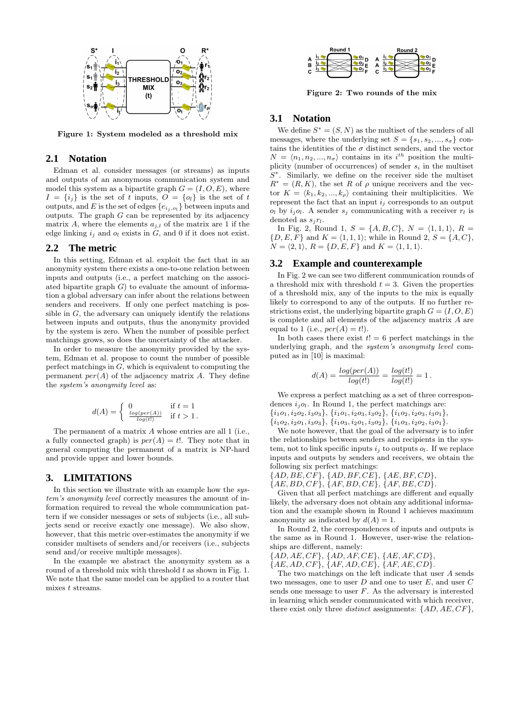

Figure 1: System modeled as a threshold mix

### **2.1 Notation**

Edman et al. consider messages (or streams) as inputs and outputs of an anonymous communication system and model this system as a bipartite graph  $G = (I, O, E)$ , where  $I = \{i_j\}$  is the set of t inputs,  $O = \{o_i\}$  is the set of t outputs, and E is the set of edges  $\{e_{i_j, o_l}\}$  between inputs and outputs. The graph  $G$  can be represented by its adjacency matrix A, where the elements  $a_{i,l}$  of the matrix are 1 if the edge linking  $i_j$  and  $o_l$  exists in  $G$ , and 0 if it does not exist.

### **2.2 The metric**

In this setting, Edman et al. exploit the fact that in an anonymity system there exists a one-to-one relation between inputs and outputs (i.e., a perfect matching on the associated bipartite graph  $G$  to evaluate the amount of information a global adversary can infer about the relations between senders and receivers. If only one perfect matching is possible in  $G$ , the adversary can uniquely identify the relations between inputs and outputs, thus the anonymity provided by the system is zero. When the number of possible perfect matchings grows, so does the uncertainty of the attacker.

In order to measure the anonymity provided by the system, Edman et al. propose to count the number of possible perfect matchings in  $G$ , which is equivalent to computing the permanent  $per(A)$  of the adjacency matrix A. They define the system's anonymity level as:

$$
d(A) = \begin{cases} 0 & \text{if } t = 1\\ \frac{\log(\text{per}(A))}{\log(t)} & \text{if } t > 1. \end{cases}
$$

The permanent of a matrix A whose entries are all 1 (i.e., a fully connected graph) is  $per(A) = t!$ . They note that in general computing the permanent of a matrix is NP-hard and provide upper and lower bounds.

#### **3. LIMITATIONS**

In this section we illustrate with an example how the system's anonymity level correctly measures the amount of information required to reveal the whole communication pattern if we consider messages or sets of subjects (i.e., all subjects send or receive exactly one message). We also show, however, that this metric over-estimates the anonymity if we consider multisets of senders and/or receivers (i.e., subjects send and/or receive multiple messages).

In the example we abstract the anonymity system as a round of a threshold mix with threshold  $t$  as shown in Fig. 1. We note that the same model can be applied to a router that mixes t streams.



Figure 2: Two rounds of the mix

### **3.1 Notation**

We define  $S^* = (S, N)$  as the multiset of the senders of all messages, where the underlying set  $S = \{s_1, s_2, ..., s_{\sigma}\}\$ contains the identities of the  $\sigma$  distinct senders, and the vector  $N = \langle n_1, n_2, ..., n_\sigma \rangle$  contains in its  $i^{th}$  position the multiplicity (number of occurrences) of sender  $s_i$  in the multiset  $S^*$ . Similarly, we define on the receiver side the multiset  $R^* = (R, K)$ , the set R of  $\rho$  unique receivers and the vector  $K = \langle k_1, k_2, ..., k_\rho \rangle$  containing their multiplicities. We represent the fact that an input  $i_j$  corresponds to an output  $o_l$  by  $i_j o_l$ . A sender  $s_j$  communicating with a receiver  $r_l$  is denoted as  $s_i r_l$ .

In Fig. 2, Round 1,  $S = \{A, B, C\}, N = \{1, 1, 1\}, R =$  $\{D, E, F\}$  and  $K = \langle 1, 1, 1 \rangle$ ; while in Round 2,  $S = \{A, C\}$ ,  $N = \langle 2, 1 \rangle$ ,  $R = \{D, E, F\}$  and  $K = \langle 1, 1, 1 \rangle$ .

#### **3.2 Example and counterexample**

In Fig. 2 we can see two different communication rounds of a threshold mix with threshold  $t = 3$ . Given the properties of a threshold mix, any of the inputs to the mix is equally likely to correspond to any of the outputs. If no further restrictions exist, the underlying bipartite graph  $G = (I, O, E)$ is complete and all elements of the adjacency matrix A are equal to 1 (i.e.,  $per(A) = t$ !).

In both cases there exist  $t! = 6$  perfect matchings in the underlying graph, and the system's anonymity level computed as in [10] is maximal:

$$
d(A) = \frac{log(per(A))}{log(t)} = \frac{log(t!)}{log(t!)} = 1.
$$

We express a perfect matching as a set of three correspondences  $i_j o_l$ . In Round 1, the perfect matchings are:  $\{i_1o_1, i_2o_2, i_3o_3\}, \{i_1o_1, i_2o_3, i_3o_2\}, \{i_1o_2, i_2o_3, i_3o_1\},\$ 

 $\{i_1o_2, i_2o_1, i_3o_3\}, \{i_1o_3, i_2o_1, i_3o_2\}, \{i_1o_3, i_2o_2, i_3o_1\}.$ 

We note however, that the goal of the adversary is to infer the relationships between senders and recipients in the system, not to link specific inputs  $i_j$  to outputs  $o_l$ . If we replace inputs and outputs by senders and receivers, we obtain the following six perfect matchings:

```
{AD, BE, CF}, {AD, BF, CE}, {AE, BF, CD},
```
 ${AE, BD, CF}, {AF, BD, CE}, {AF, BE, CD}.$ 

Given that all perfect matchings are different and equally likely, the adversary does not obtain any additional information and the example shown in Round 1 achieves maximum anonymity as indicated by  $d(A) = 1$ .

In Round 2, the correspondences of inputs and outputs is the same as in Round 1. However, user-wise the relationships are different, namely:

 ${AD, AE, CF}, {AD, AF, CE}, {AE, AF, CD},$ 

 ${AE, AD, CF}, {AF, AD, CE}, {AF, AE, CD}.$ 

The two matchings on the left indicate that user A sends two messages, one to user  $D$  and one to user  $E$ , and user  $C$ sends one message to user  $F$ . As the adversary is interested in learning which sender communicated with which receiver, there exist only three *distinct* assignments:  $\{AD, AE, CF\}$ ,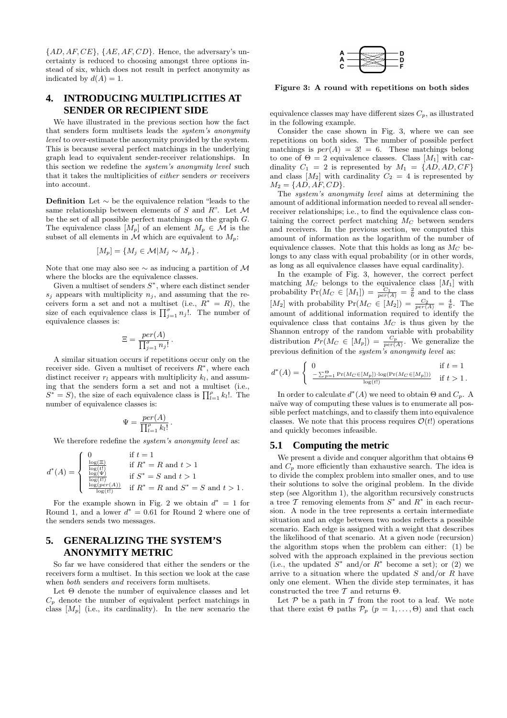${AD, AF, CE}, {AE, AF, CD}.$  Hence, the adversary's uncertainty is reduced to choosing amongst three options instead of six, which does not result in perfect anonymity as indicated by  $d(A) = 1$ .

# **4. INTRODUCING MULTIPLICITIES AT SENDER OR RECIPIENT SIDE**

We have illustrated in the previous section how the fact that senders form multisets leads the system's anonymity level to over-estimate the anonymity provided by the system. This is because several perfect matchings in the underlying graph lead to equivalent sender-receiver relationships. In this section we redefine the system's anonymity level such that it takes the multiplicities of either senders or receivers into account.

Definition Let ∼ be the equivalence relation "leads to the same relationship between elements of  $S$  and  $R$ ". Let  $\mathcal M$ be the set of all possible perfect matchings on the graph G. The equivalence class  $[M_p]$  of an element  $M_p \in \mathcal{M}$  is the subset of all elements in  $\mathcal M$  which are equivalent to  $M_p$ :

$$
[M_p] = \{ M_j \in \mathcal{M} | M_j \sim M_p \}.
$$

Note that one may also see  $\sim$  as inducing a partition of M where the blocks are the equivalence classes.

Given a multiset of senders  $S^*$ , where each distinct sender  $s_i$  appears with multiplicity  $n_i$ , and assuming that the receivers form a set and not a multiset (i.e.,  $\overline{R}^* = R$ ), the size of each equivalence class is  $\prod_{j=1}^{\sigma} n_j!$ . The number of equivalence classes is:

$$
\Xi = \frac{per(A)}{\prod_{j=1}^{\sigma} n_j!}.
$$

A similar situation occurs if repetitions occur only on the receiver side. Given a multiset of receivers  $R^*$ , where each distinct receiver  $r_l$  appears with multiplicity  $k_l$ , and assuming that the senders form a set and not a multiset (i.e.,  $S^* = S$ , the size of each equivalence class is  $\prod_{l=1}^{\rho} k_l!$ . The number of equivalence classes is:

$$
\Psi = \frac{per(A)}{\prod_{l=1}^{\rho} k_l!}.
$$

We therefore redefine the *system's anonymity level* as:

$$
d^{*}(A) = \begin{cases} 0 & \text{if } t = 1 \\ \frac{\log(E)}{\log(t)} & \text{if } R^{*} = R \text{ and } t > 1 \\ \frac{\log(\Psi)}{\log(t)} & \text{if } S^{*} = S \text{ and } t > 1 \\ \frac{\log(\text{per}(A))}{\log(t)} & \text{if } R^{*} = R \text{ and } S^{*} = S \text{ and } t > 1. \end{cases}
$$

For the example shown in Fig. 2 we obtain  $d^* = 1$  for Round 1, and a lower  $d^* = 0.61$  for Round 2 where one of the senders sends two messages.

## **5. GENERALIZING THE SYSTEM'S ANONYMITY METRIC**

So far we have considered that either the senders or the receivers form a multiset. In this section we look at the case when both senders and receivers form multisets.

Let Θ denote the number of equivalence classes and let  $C_p$  denote the number of equivalent perfect matchings in class  $[M_p]$  (i.e., its cardinality). In the new scenario the



Figure 3: A round with repetitions on both sides

equivalence classes may have different sizes  $C_p$ , as illustrated in the following example.

Consider the case shown in Fig. 3, where we can see repetitions on both sides. The number of possible perfect matchings is  $per(A) = 3! = 6$ . These matchings belong to one of  $\Theta = 2$  equivalence classes. Class [M<sub>1</sub>] with cardinality  $C_1 = 2$  is represented by  $M_1 = \{AD, AD, CF\}$ and class  $[M_2]$  with cardinality  $C_2 = 4$  is represented by  $M_2 = \{AD, AF, CD\}.$ 

The system's anonymity level aims at determining the amount of additional information needed to reveal all senderreceiver relationships; i.e., to find the equivalence class containing the correct perfect matching  $M_C$  between senders and receivers. In the previous section, we computed this amount of information as the logarithm of the number of equivalence classes. Note that this holds as long as  $M_C$  belongs to any class with equal probability (or in other words, as long as all equivalence classes have equal cardinality).

In the example of Fig. 3, however, the correct perfect matching  $M_C$  belongs to the equivalence class  $[M_1]$  with probability  $Pr(M_C \in [M_1]) = \frac{C_1}{per(A)} = \frac{2}{6}$  and to the class [M<sub>2</sub>] with probability  $Pr(M_C \in [M_2]) = \frac{C_2}{per(A)} = \frac{4}{6}$ . The amount of additional information required to identify the equivalence class that contains  $M_C$  is thus given by the Shannon entropy of the random variable with probability distribution  $Pr(M_C \in [M_p]) = \frac{C_p}{per(A)}$ . We generalize the previous definition of the *system's anonymity level* as:

$$
d^*(A) = \begin{cases} 0 & \text{if } t = 1\\ \frac{-\sum_{p=1}^{\Theta} \Pr(M_C \in [M_p]) \cdot \log(\Pr(M_C \in [M_p]))}{\log(t)} & \text{if } t > 1. \end{cases}
$$

In order to calculate  $d^*(A)$  we need to obtain  $\Theta$  and  $C_p$ . A naïve way of computing these values is to enumerate all possible perfect matchings, and to classify them into equivalence classes. We note that this process requires  $\mathcal{O}(t!)$  operations and quickly becomes infeasible.

#### **5.1 Computing the metric**

We present a divide and conquer algorithm that obtains Θ and  $C_p$  more efficiently than exhaustive search. The idea is to divide the complex problem into smaller ones, and to use their solutions to solve the original problem. In the divide step (see Algorithm 1), the algorithm recursively constructs a tree  $\mathcal T$  removing elements from  $S^*$  and  $R^*$  in each recursion. A node in the tree represents a certain intermediate situation and an edge between two nodes reflects a possible scenario. Each edge is assigned with a weight that describes the likelihood of that scenario. At a given node (recursion) the algorithm stops when the problem can either: (1) be solved with the approach explained in the previous section (i.e., the updated  $S^*$  and/or  $R^*$  become a set); or (2) we arrive to a situation where the updated  $S$  and/or  $R$  have only one element. When the divide step terminates, it has constructed the tree  $T$  and returns  $\Theta$ .

Let  $P$  be a path in  $T$  from the root to a leaf. We note that there exist  $\Theta$  paths  $\mathcal{P}_p$   $(p = 1, \ldots, \Theta)$  and that each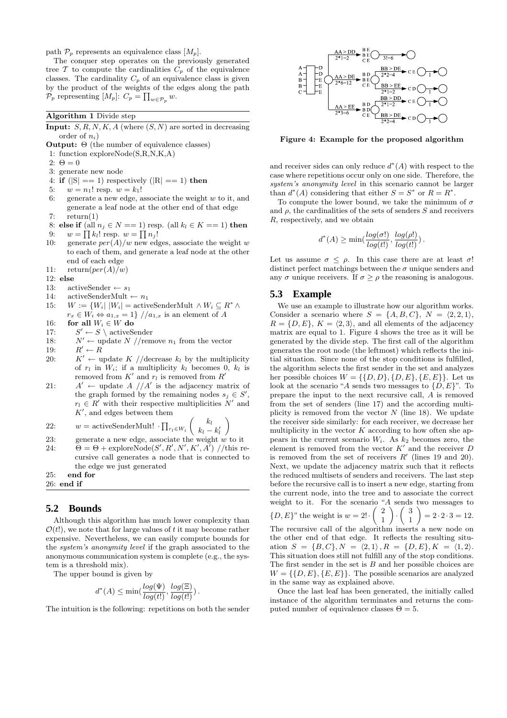path  $\mathcal{P}_p$  represents an equivalence class  $[M_p]$ .

The conquer step operates on the previously generated tree  $\mathcal T$  to compute the cardinalities  $C_p$  of the equivalence classes. The cardinality  $C_p$  of an equivalence class is given by the product of the weights of the edges along the path  $\mathcal{P}_p$  representing  $[M_p]$ :  $C_p = \prod_{w \in \mathcal{P}_p} w$ .

Algorithm 1 Divide step

- **Input:**  $S, R, N, K, A$  (where  $(S, N)$  are sorted in decreasing order of  $n_i$ )
- **Output:**  $\Theta$  (the number of equivalence classes)
- 1: function exploreNode(S,R,N,K,A)
- 2:  $\Theta = 0$
- 3: generate new node
- 4: if  $(|S| == 1)$  respectively  $(|R| == 1)$  then

5:  $w = n_1!$  resp.  $w = k_1!$ 

- 6: generate a new edge, associate the weight  $w$  to it, and generate a leaf node at the other end of that edge 7:  $return(1)$
- 
- 8: else if (all  $n_i \in N == 1$ ) resp. (all  $k_l \in K == 1$ ) then
- 9:  $w = \prod k_l!$  resp.  $w = \prod n_j!$
- 10: generate  $per(A)/w$  new edges, associate the weight w to each of them, and generate a leaf node at the other end of each edge
- 11:  $return(per(A)/w)$
- 12: else
- 13: activeSender  $\leftarrow s_1$
- 14: activeSenderMult  $\leftarrow n_1$
- 15:  $W := \{W_i | |W_i| = \text{activeSenderMult} \land W_i \subseteq R^* \land$  $r_x \in W_i \Leftrightarrow a_{1,x} = 1$  // $a_{1,x}$  is an element of A
- 16: **for all**  $W_i \in W$  do
- $17:$  $S' \leftarrow S \setminus \text{activeSender}$
- 18:  $N' \leftarrow \text{update } N \text{ //remove } n_1 \text{ from the vector }$
- $19:$  $R' \leftarrow R$
- 20:  $K' \leftarrow \text{update } K / / \text{decrease } k_l \text{ by the multiplicity}$ of  $r_l$  in  $W_i$ ; if a multiplicity  $k_l$  becomes 0,  $k_l$  is removed from  $K'$  and  $r_l$  is removed from  $R'$
- $21:$  $' \leftarrow$  update  $A$  // $A'$  is the adjacency matrix of the graph formed by the remaining nodes  $s_j \in S'$ ,  $r_l \in R'$  with their respective multiplicities N' and  $K'$ , and edges between them

22: 
$$
w = \text{activeSenderMult!} \cdot \prod_{r_l \in W_i} \binom{k_l}{k_l - k'_l}
$$

- 23: generate a new edge, associate the weight  $w$  to it
- 24:  $\Theta = \Theta + \text{exploreNode}(S', R', N', K', A')$  //this recursive call generates a node that is connected to the edge we just generated

25: end for

26: end if

#### **5.2 Bounds**

Although this algorithm has much lower complexity than  $\mathcal{O}(t!)$ , we note that for large values of t it may become rather expensive. Nevertheless, we can easily compute bounds for the system's anonymity level if the graph associated to the anonymous communication system is complete (e.g., the system is a threshold mix).

The upper bound is given by

$$
d^*(A) \le \min(\frac{\log(\Psi)}{\log(t)}, \frac{\log(\Xi)}{\log(t)}).
$$

The intuition is the following: repetitions on both the sender



Figure 4: Example for the proposed algorithm

and receiver sides can only reduce  $d^*(A)$  with respect to the case where repetitions occur only on one side. Therefore, the system's anonymity level in this scenario cannot be larger than  $d^*(A)$  considering that either  $S = S^*$  or  $R = R^*$ .

To compute the lower bound, we take the minimum of  $\sigma$ and  $\rho$ , the cardinalities of the sets of senders  $S$  and receivers R, respectively, and we obtain

$$
d^*(A) \ge \min(\frac{log(\sigma!)}{log(t)}, \frac{log(\rho!)}{log(t)}).
$$

Let us assume  $\sigma \leq \rho$ . In this case there are at least  $\sigma$ ! distinct perfect matchings between the  $\sigma$  unique senders and any  $\sigma$  unique receivers. If  $\sigma \geq \rho$  the reasoning is analogous.

#### **5.3 Example**

We use an example to illustrate how our algorithm works. Consider a scenario where  $S = \{A, B, C\}, N = \langle 2, 2, 1 \rangle,$  $R = \{D, E\}, K = \langle 2, 3 \rangle$ , and all elements of the adjacency matrix are equal to 1. Figure 4 shows the tree as it will be generated by the divide step. The first call of the algorithm generates the root node (the leftmost) which reflects the initial situation. Since none of the stop conditions is fulfilled, the algorithm selects the first sender in the set and analyzes her possible choices  $W = \{\{D, D\}, \{D, E\}, \{E, E\}\}.$  Let us look at the scenario "A sends two messages to  $\{D, E\}$ ". To prepare the input to the next recursive call, A is removed from the set of senders (line 17) and the according multiplicity is removed from the vector  $N$  (line 18). We update the receiver side similarly: for each receiver, we decrease her multiplicity in the vector  $K$  according to how often she appears in the current scenario  $W_i$ . As  $k_2$  becomes zero, the element is removed from the vector  $K'$  and the receiver  $D$ is removed from the set of receivers  $R'$  (lines 19 and 20). Next, we update the adjacency matrix such that it reflects the reduced multisets of senders and receivers. The last step before the recursive call is to insert a new edge, starting from the current node, into the tree and to associate the correct weight to it. For the scenario "A sends two messages to  $\{D, E\}$ " the weight is  $w = 2! \cdot \begin{pmatrix} 2 \\ 1 \end{pmatrix}$ 1  $\Big) \cdot \Big( \begin{array}{c} 3 \\ 1 \end{array} \Big)$ 1  $= 2 \cdot 2 \cdot 3 = 12.$ 

The recursive call of the algorithm inserts a new node on the other end of that edge. It reflects the resulting situation  $S = {B, C}$ ,  $N = \langle 2, 1 \rangle$ ,  $R = {D, E}$ ,  $K = \langle 1, 2 \rangle$ . This situation does still not fulfill any of the stop conditions. The first sender in the set is  $B$  and her possible choices are  $W = \{\{D, E\}, \{E, E\}\}.$  The possible scenarios are analyzed in the same way as explained above.

Once the last leaf has been generated, the initially called instance of the algorithm terminates and returns the computed number of equivalence classes  $\Theta = 5$ .